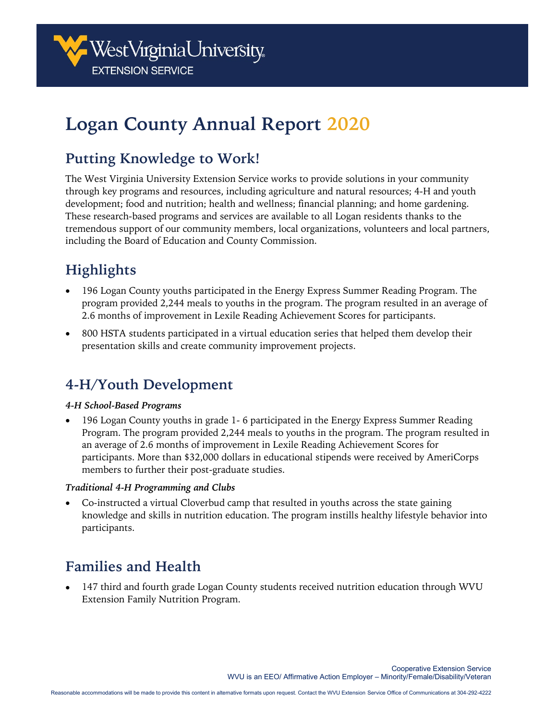

# **Logan County Annual Report 2020**

# **Putting Knowledge to Work!**

The West Virginia University Extension Service works to provide solutions in your community through key programs and resources, including agriculture and natural resources; 4-H and youth development; food and nutrition; health and wellness; financial planning; and home gardening. These research-based programs and services are available to all Logan residents thanks to the tremendous support of our community members, local organizations, volunteers and local partners, including the Board of Education and County Commission.

# **Highlights**

- 196 Logan County youths participated in the Energy Express Summer Reading Program. The program provided 2,244 meals to youths in the program. The program resulted in an average of 2.6 months of improvement in Lexile Reading Achievement Scores for participants.
- 800 HSTA students participated in a virtual education series that helped them develop their presentation skills and create community improvement projects.

# **4-H/Youth Development**

#### *4-H School-Based Programs*

• 196 Logan County youths in grade 1- 6 participated in the Energy Express Summer Reading Program. The program provided 2,244 meals to youths in the program. The program resulted in an average of 2.6 months of improvement in Lexile Reading Achievement Scores for participants. More than \$32,000 dollars in educational stipends were received by AmeriCorps members to further their post-graduate studies.

#### *Traditional 4-H Programming and Clubs*

• Co-instructed a virtual Cloverbud camp that resulted in youths across the state gaining knowledge and skills in nutrition education. The program instills healthy lifestyle behavior into participants.

# **Families and Health**

• 147 third and fourth grade Logan County students received nutrition education through WVU Extension Family Nutrition Program.